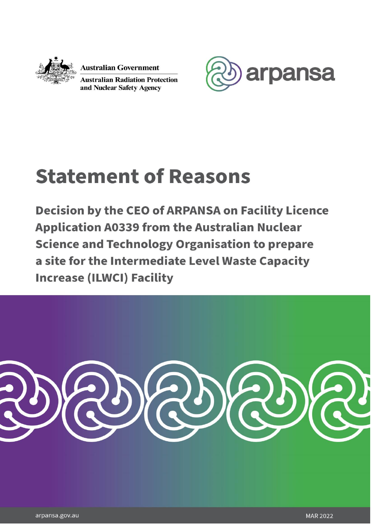

**Australian Government** 

**Australian Radiation Protection** and Nuclear Safety Agency



# **Statement of Reasons**

**Decision by the CEO of ARPANSA on Facility Licence Application A0339 from the Australian Nuclear Science and Technology Organisation to prepare** a site for the Intermediate Level Waste Capacity **Increase (ILWCI) Facility** 



+61 3 9433 2211 +61 2 9541 8333 arpansa.gov.au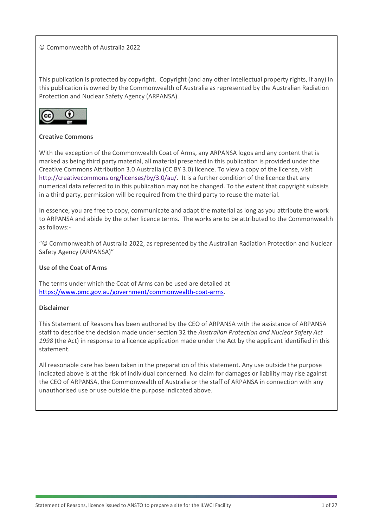#### © Commonwealth of Australia 2022

This publication is protected by copyright. Copyright (and any other intellectual property rights, if any) in this publication is owned by the Commonwealth of Australia as represented by the Australian Radiation Protection and Nuclear Safety Agency (ARPANSA).



#### **Creative Commons**

With the exception of the Commonwealth Coat of Arms, any ARPANSA logos and any content that is marked as being third party material, all material presented in this publication is provided under the Creative Commons Attribution 3.0 Australia (CC BY 3.0) licence. To view a copy of the license, visit [http://creativecommons.org/licenses/by/3.0/au/.](http://creativecommons.org/licenses/by/3.0/au/) It is a further condition of the licence that any numerical data referred to in this publication may not be changed. To the extent that copyright subsists in a third party, permission will be required from the third party to reuse the material.

In essence, you are free to copy, communicate and adapt the material as long as you attribute the work to ARPANSA and abide by the other licence terms. The works are to be attributed to the Commonwealth as follows:-

"© Commonwealth of Australia 2022, as represented by the Australian Radiation Protection and Nuclear Safety Agency (ARPANSA)"

#### **Use of the Coat of Arms**

The terms under which the Coat of Arms can be used are detailed at [https://www.pmc.gov.au/government/commonwealth-coat-arms.](https://aus01.safelinks.protection.outlook.com/?url=https%3A%2F%2Fwww.pmc.gov.au%2Fgovernment%2Fcommonwealth-coat-arms&data=04%7C01%7Cmartin.reynolds%40arpansa.gov.au%7Ccdebc4e657e44477babd08d9f85a70a6%7Ce23b734400e149cb94682759cc63a844%7C0%7C0%7C637813891752656501%7CUnknown%7CTWFpbGZsb3d8eyJWIjoiMC4wLjAwMDAiLCJQIjoiV2luMzIiLCJBTiI6Ik1haWwiLCJXVCI6Mn0%3D%7C1000&sdata=XNZC3WmRVIBq%2BTDGayy5AAKxPssjvBIzWqwjCxh8BjM%3D&reserved=0)

#### **Disclaimer**

This Statement of Reasons has been authored by the CEO of ARPANSA with the assistance of ARPANSA staff to describe the decision made under section 32 the *Australian Protection and Nuclear Safety Act 1998* (the Act) in response to a licence application made under the Act by the applicant identified in this statement.

All reasonable care has been taken in the preparation of this statement. Any use outside the purpose indicated above is at the risk of individual concerned. No claim for damages or liability may rise against the CEO of ARPANSA, the Commonwealth of Australia or the staff of ARPANSA in connection with any unauthorised use or use outside the purpose indicated above.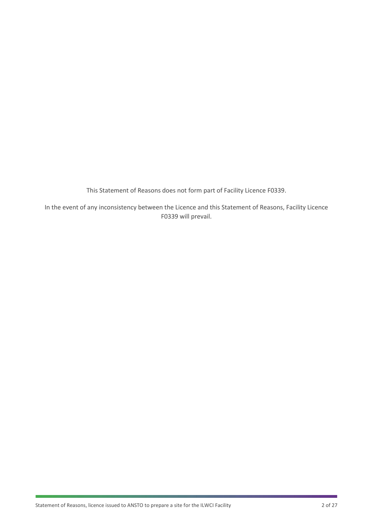This Statement of Reasons does not form part of Facility Licence F0339.

In the event of any inconsistency between the Licence and this Statement of Reasons, Facility Licence F0339 will prevail.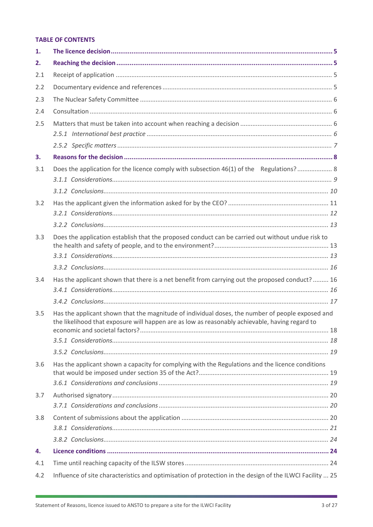## **TABLE OF CONTENTS**

| 1.  |                                                                                                                                                                                                    |  |
|-----|----------------------------------------------------------------------------------------------------------------------------------------------------------------------------------------------------|--|
| 2.  |                                                                                                                                                                                                    |  |
| 2.1 |                                                                                                                                                                                                    |  |
| 2.2 |                                                                                                                                                                                                    |  |
| 2.3 |                                                                                                                                                                                                    |  |
| 2.4 |                                                                                                                                                                                                    |  |
| 2.5 |                                                                                                                                                                                                    |  |
|     |                                                                                                                                                                                                    |  |
| 3.  |                                                                                                                                                                                                    |  |
| 3.1 | Does the application for the licence comply with subsection 46(1) of the Regulations? 8                                                                                                            |  |
|     |                                                                                                                                                                                                    |  |
| 3.2 |                                                                                                                                                                                                    |  |
|     |                                                                                                                                                                                                    |  |
| 3.3 | Does the application establish that the proposed conduct can be carried out without undue risk to                                                                                                  |  |
|     |                                                                                                                                                                                                    |  |
| 3.4 | Has the applicant shown that there is a net benefit from carrying out the proposed conduct? 16                                                                                                     |  |
|     |                                                                                                                                                                                                    |  |
|     |                                                                                                                                                                                                    |  |
| 3.5 | Has the applicant shown that the magnitude of individual doses, the number of people exposed and<br>the likelihood that exposure will happen are as low as reasonably achievable, having regard to |  |
|     |                                                                                                                                                                                                    |  |
|     |                                                                                                                                                                                                    |  |
| 3.6 | Has the applicant shown a capacity for complying with the Regulations and the licence conditions                                                                                                   |  |
|     |                                                                                                                                                                                                    |  |
|     |                                                                                                                                                                                                    |  |
| 3.7 |                                                                                                                                                                                                    |  |
|     |                                                                                                                                                                                                    |  |
| 3.8 |                                                                                                                                                                                                    |  |
|     |                                                                                                                                                                                                    |  |
|     |                                                                                                                                                                                                    |  |
| 4.  |                                                                                                                                                                                                    |  |
| 4.1 |                                                                                                                                                                                                    |  |
| 4.2 | Influence of site characteristics and optimisation of protection in the design of the ILWCI Facility  25                                                                                           |  |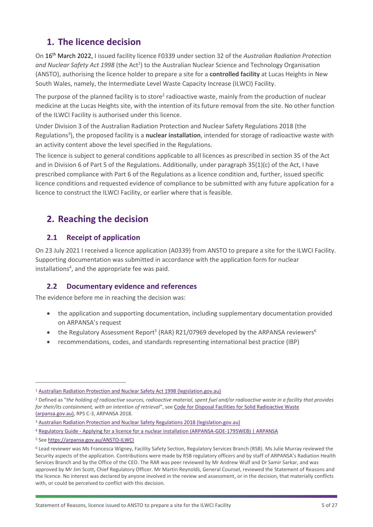# <span id="page-5-0"></span>**1. The licence decision**

On 16th March 2022, I issued facility licence F0339 under section 32 of the *Australian Radiation Protection*  and Nuclear Safety Act 1998 (the Act<sup>1</sup>) to the Australian Nuclear Science and Technology Organisation (ANSTO), authorising the licence holder to prepare a site for a **controlled facility** at Lucas Heights in New South Wales, namely, the Intermediate Level Waste Capacity Increase (ILWCI) Facility.

The purpose of the planned facility is to store<sup>2</sup> radioactive waste, mainly from the production of nuclear medicine at the Lucas Heights site, with the intention of its future removal from the site. No other function of the ILWCI Facility is authorised under this licence.

Under Division 3 of the Australian Radiation Protection and Nuclear Safety Regulations 2018 (the Regulations<sup>3</sup>), the proposed facility is a nuclear installation, intended for storage of radioactive waste with an activity content above the level specified in the Regulations.

The licence is subject to general conditions applicable to all licences as prescribed in section 35 of the Act and in Division 6 of Part 5 of the Regulations. Additionally, under paragraph 35(1)(c) of the Act, I have prescribed compliance with Part 6 of the Regulations as a licence condition and, further, issued specific licence conditions and requested evidence of compliance to be submitted with any future application for a licence to construct the ILWCI Facility, or earlier where that is feasible.

# <span id="page-5-1"></span>**2. Reaching the decision**

## <span id="page-5-2"></span>**2.1 Receipt of application**

On 23 July 2021 I received a licence application (A0339) from ANSTO to prepare a site for the ILWCI Facility. Supporting documentation was submitted in accordance with the application form for nuclear installations<sup>4</sup>, and the appropriate fee was paid.

## <span id="page-5-3"></span>**2.2 Documentary evidence and references**

The evidence before me in reaching the decision was:

- the application and supporting documentation, including supplementary documentation provided on ARPANSA's request
- the Regulatory Assessment Report<sup>5</sup> (RAR) R21/07969 developed by the ARPANSA reviewers<sup>6</sup>
- recommendations, codes, and standards representing international best practice (IBP)

<sup>5</sup> See [https://arpansa.gov.au/ANSTO-ILWCI](https://aus01.safelinks.protection.outlook.com/?url=https%3A%2F%2Farpansa.gov.au%2FANSTO-ILWCI&data=04%7C01%7Cfrancesca.wigney%40arpansa.gov.au%7Cc6c8cc6c4a3c489898fe08d9f5b9d920%7Ce23b734400e149cb94682759cc63a844%7C0%7C0%7C637811000825718578%7CUnknown%7CTWFpbGZsb3d8eyJWIjoiMC4wLjAwMDAiLCJQIjoiV2luMzIiLCJBTiI6Ik1haWwiLCJXVCI6Mn0%3D%7C3000&sdata=WG87MQKdwFpmNxj3cn4FMp2jAleHhCGSKk4eNlxzqow%3D&reserved=0)

<sup>&</sup>lt;sup>1</sup> [Australian Radiation Protection and Nuclear Safety Act 1998 \(legislation.gov.au\)](https://www.legislation.gov.au/Details/C2016C00977)

<sup>2</sup> Defined as "*the holding of radioactive sources, radioactive material, spent fuel and/or radioactive waste in a facility that provides for their/its containment, with an intention of retrieval*", see [Code for Disposal Facilities for Solid Radioactive Waste](https://www.arpansa.gov.au/sites/default/files/rpsc3.pdf)  [\(arpansa.gov.au\),](https://www.arpansa.gov.au/sites/default/files/rpsc3.pdf) RPS C-3, ARPANSA 2018.

<sup>3</sup> [Australian Radiation Protection and Nuclear Safety](https://www.legislation.gov.au/Details/F2021C00746) Regulations 2018 (legislation.gov.au)

<sup>4</sup> Regulatory Guide - Applying for a licence for [a nuclear installation \(ARPANSA-GDE-1795WEB\) | ARPANSA](https://www.arpansa.gov.au/regulation-and-licensing/licensing/information-for-licence-holders/regulatory-guides/regulatory-guide-applying-licence-nuclear)

<sup>6</sup> Lead reviewer was Ms Francesca Wigney, Facility Safety Section, Regulatory Services Branch (RSB). Ms Julie Murray reviewed the Security aspects of the application. Contributions were made by RSB regulatory officers and by staff of ARPANSA's Radiation Health Services Branch and by the Office of the CEO. The RAR was peer reviewed by Mr Andrew Wulf and Dr Samir Sarkar, and was approved by Mr Jim Scott, Chief Regulatory Officer. Mr Martin Reynolds, General Counsel, reviewed the Statement of Reasons and the licence. No interest was declared by anyone involved in the review and assessment, or in the decision, that materially conflicts with, or could be perceived to conflict with this decision.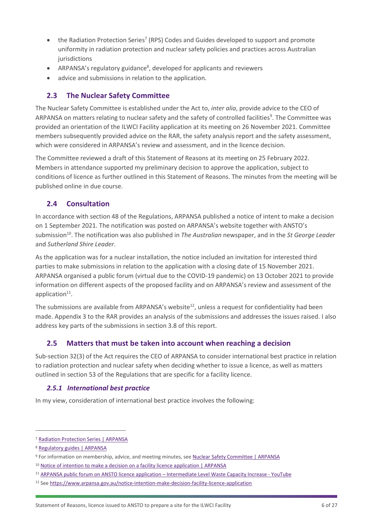- $\bullet$  the Radiation Protection Series<sup>7</sup> (RPS) Codes and Guides developed to support and promote uniformity in radiation protection and nuclear safety policies and practices across Australian jurisdictions
- ARPANSA's regulatory guidance<sup>8</sup>, developed for applicants and reviewers
- advice and submissions in relation to the application.

## <span id="page-6-0"></span>**2.3 The Nuclear Safety Committee**

The Nuclear Safety Committee is established under the Act to, *inter alia*, provide advice to the CEO of ARPANSA on matters relating to nuclear safety and the safety of controlled facilities<sup>9</sup>. The Committee was provided an orientation of the ILWCI Facility application at its meeting on 26 November 2021. Committee members subsequently provided advice on the RAR, the safety analysis report and the safety assessment, which were considered in ARPANSA's review and assessment, and in the licence decision.

The Committee reviewed a draft of this Statement of Reasons at its meeting on 25 February 2022. Members in attendance supported my preliminary decision to approve the application, subject to conditions of licence as further outlined in this Statement of Reasons. The minutes from the meeting will be published online in due course.

## <span id="page-6-1"></span>**2.4 Consultation**

In accordance with section 48 of the Regulations, ARPANSA published a notice of intent to make a decision on 1 September 2021. The notification was posted on ARPANSA's website together with ANSTO's submission<sup>10</sup>. The notification was also published in *The Australian* newspaper, and in the *St George Leader*  and *Sutherland Shire Leader*.

As the application was for a nuclear installation, the notice included an invitation for interested third parties to make submissions in relation to the application with a closing date of 15 November 2021. ARPANSA organised a public forum (virtual due to the COVID-19 pandemic) on 13 October 2021 to provide information on different aspects of the proposed facility and on ARPANSA's review and assessment of the application<sup>11</sup>.

The submissions are available from ARPANSA's website<sup>12</sup>, unless a request for confidentiality had been made. Appendix 3 to the RAR provides an analysis of the submissions and addresses the issues raised. I also address key parts of the submissions in section 3.8 of this report.

## <span id="page-6-2"></span>**2.5 Matters that must be taken into account when reaching a decision**

Sub-section 32(3) of the Act requires the CEO of ARPANSA to consider international best practice in relation to radiation protection and nuclear safety when deciding whether to issue a licence, as well as matters outlined in section 53 of the Regulations that are specific for a facility licence.

## <span id="page-6-3"></span>*2.5.1 International best practice*

In my view, consideration of international best practice involves the following:

<sup>7</sup> [Radiation Protection Series | ARPANSA](https://www.arpansa.gov.au/regulation-and-licensing/regulatory-publications/radiation-protection-series)

<sup>8</sup> [Regulatory guides | ARPANSA](https://www.arpansa.gov.au/regulation-and-licensing/licensing/information-for-licence-holders/regulatory-guides)

<sup>9</sup> For information on membership, advice, and meeting minutes, se[e Nuclear Safety Committee | ARPANSA](https://www.arpansa.gov.au/about-us/advisory-council-and-committees/nuclear-safety-committee)

<sup>&</sup>lt;sup>10</sup> [Notice of intention to make a decision on a facility licence application | ARPANSA](https://www.arpansa.gov.au/notice-intention-make-decision-facility-licence-application)

<sup>11</sup> [ARPANSA public forum on ANSTO licence application](https://www.youtube.com/watch?v=eSb8t4pHMOw) – Intermediate Level Waste Capacity Increase - YouTube

<sup>12</sup> See<https://www.arpansa.gov.au/notice-intention-make-decision-facility-licence-application>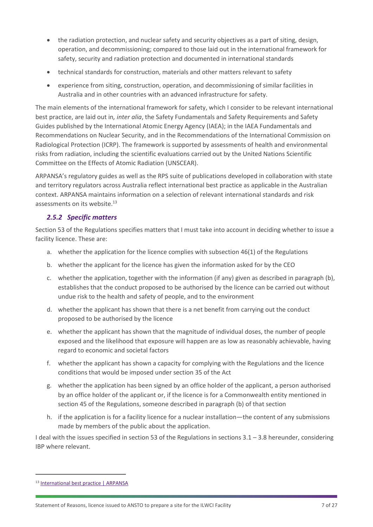- the radiation protection, and nuclear safety and security objectives as a part of siting, design, operation, and decommissioning; compared to those laid out in the international framework for safety, security and radiation protection and documented in international standards
- technical standards for construction, materials and other matters relevant to safety
- experience from siting, construction, operation, and decommissioning of similar facilities in Australia and in other countries with an advanced infrastructure for safety.

The main elements of the international framework for safety, which I consider to be relevant international best practice, are laid out in*, inter alia*, the Safety Fundamentals and Safety Requirements and Safety Guides published by the International Atomic Energy Agency (IAEA); in the IAEA Fundamentals and Recommendations on Nuclear Security, and in the Recommendations of the International Commission on Radiological Protection (ICRP). The framework is supported by assessments of health and environmental risks from radiation, including the scientific evaluations carried out by the United Nations Scientific Committee on the Effects of Atomic Radiation (UNSCEAR).

ARPANSA's regulatory guides as well as the RPS suite of publications developed in collaboration with state and territory regulators across Australia reflect international best practice as applicable in the Australian context. ARPANSA maintains information on a selection of relevant international standards and risk assessments on its website.<sup>13</sup>

## <span id="page-7-0"></span>*2.5.2 Specific matters*

Section 53 of the Regulations specifies matters that I must take into account in deciding whether to issue a facility licence. These are:

- a. whether the application for the licence complies with subsection 46(1) of the Regulations
- b. whether the applicant for the licence has given the information asked for by the CEO
- c. whether the application, together with the information (if any) given as described in paragraph (b), establishes that the conduct proposed to be authorised by the licence can be carried out without undue risk to the health and safety of people, and to the environment
- d. whether the applicant has shown that there is a net benefit from carrying out the conduct proposed to be authorised by the licence
- e. whether the applicant has shown that the magnitude of individual doses, the number of people exposed and the likelihood that exposure will happen are as low as reasonably achievable, having regard to economic and societal factors
- f. whether the applicant has shown a capacity for complying with the Regulations and the licence conditions that would be imposed under section 35 of the Act
- g. whether the application has been signed by an office holder of the applicant, a person authorised by an office holder of the applicant or, if the licence is for a Commonwealth entity mentioned in section 45 of the Regulations, someone described in paragraph (b) of that section
- h. if the application is for a facility licence for a nuclear installation—the content of any submissions made by members of the public about the application.

I deal with the issues specified in section 53 of the Regulations in sections 3.1 – 3.8 hereunder, considering IBP where relevant.

<sup>13</sup> [International best practice | ARPANSA](https://www.arpansa.gov.au/regulation-and-licensing/regulation/international-best-practice)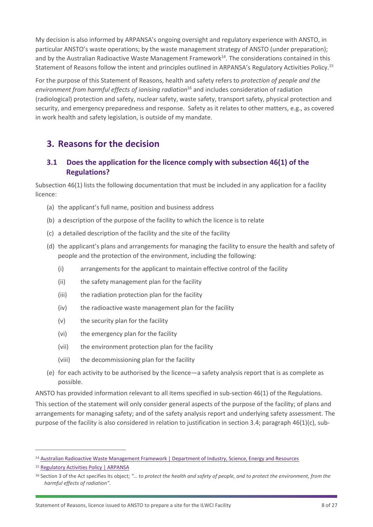My decision is also informed by ARPANSA's ongoing oversight and regulatory experience with ANSTO, in particular ANSTO's waste operations; by the waste management strategy of ANSTO (under preparation); and by the Australian Radioactive Waste Management Framework<sup>14</sup>. The considerations contained in this Statement of Reasons follow the intent and principles outlined in ARPANSA's Regulatory Activities Policy.<sup>15</sup>

For the purpose of this Statement of Reasons, health and safety refers to *protection of people and the environment from harmful effects of ionising radiation*<sup>16</sup> and includes consideration of radiation (radiological) protection and safety, nuclear safety, waste safety, transport safety, physical protection and security, and emergency preparedness and response. Safety as it relates to other matters, e.g., as covered in work health and safety legislation, is outside of my mandate.

# <span id="page-8-0"></span>**3. Reasons for the decision**

## <span id="page-8-1"></span>**3.1 Does the application for the licence comply with subsection 46(1) of the Regulations?**

Subsection 46(1) lists the following documentation that must be included in any application for a facility licence:

- (a) the applicant's full name, position and business address
- (b) a description of the purpose of the facility to which the licence is to relate
- (c) a detailed description of the facility and the site of the facility
- (d) the applicant's plans and arrangements for managing the facility to ensure the health and safety of people and the protection of the environment, including the following:
	- (i) arrangements for the applicant to maintain effective control of the facility
	- (ii) the safety management plan for the facility
	- (iii) the radiation protection plan for the facility
	- (iv) the radioactive waste management plan for the facility
	- (v) the security plan for the facility
	- (vi) the emergency plan for the facility
	- (vii) the environment protection plan for the facility
	- (viii) the decommissioning plan for the facility
- (e) for each activity to be authorised by the licence—a safety analysis report that is as complete as possible.

ANSTO has provided information relevant to all items specified in sub-section 46(1) of the Regulations.

This section of the statement will only consider general aspects of the purpose of the facility; of plans and arrangements for managing safety; and of the safety analysis report and underlying safety assessment. The purpose of the facility is also considered in relation to justification in section 3.4; paragraph 46(1)(c), sub-

<sup>&</sup>lt;sup>14</sup> [Australian Radioactive Waste Management Framework | Department of Industry, Science, Energy and Resources](https://www.industry.gov.au/data-and-publications/australian-radioactive-waste-management-framework)

<sup>15</sup> [Regulatory Activities Policy | ARPANSA](https://www.arpansa.gov.au/about-us/our-policies/regulatory-activity-policies#:~:text=The%20Regulatory%20Activities%20Policy%20(the,the%20environment%2C%20from%20the%20harmful)

<sup>16</sup> Section 3 of the Act specifies its object; *"… to protect the health and safety of people, and to protect the environment, from the harmful effects of radiation".*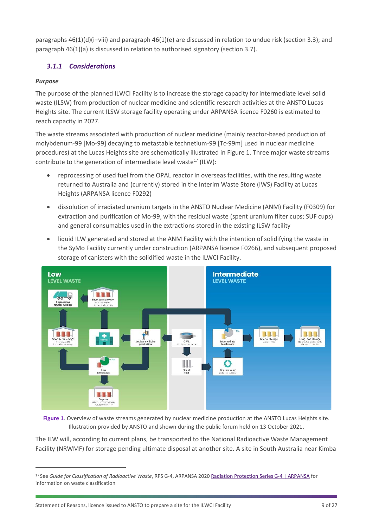paragraphs 46(1)(d)(i–viii) and paragraph 46(1)(e) are discussed in relation to undue risk (section 3.3); and paragraph 46(1)(a) is discussed in relation to authorised signatory (section 3.7).

## <span id="page-9-0"></span>*3.1.1 Considerations*

## *Purpose*

The purpose of the planned ILWCI Facility is to increase the storage capacity for intermediate level solid waste (ILSW) from production of nuclear medicine and scientific research activities at the ANSTO Lucas Heights site. The current ILSW storage facility operating under ARPANSA licence F0260 is estimated to reach capacity in 2027.

The waste streams associated with production of nuclear medicine (mainly reactor-based production of molybdenum-99 [Mo-99] decaying to metastable technetium-99 [Tc-99m] used in nuclear medicine procedures) at the Lucas Heights site are schematically illustrated in Figure 1. Three major waste streams contribute to the generation of intermediate level waste<sup>17</sup> (ILW):

- reprocessing of used fuel from the OPAL reactor in overseas facilities, with the resulting waste returned to Australia and (currently) stored in the Interim Waste Store (IWS) Facility at Lucas Heights (ARPANSA licence F0292)
- dissolution of irradiated uranium targets in the ANSTO Nuclear Medicine (ANM) Facility (F0309) for extraction and purification of Mo-99, with the residual waste (spent uranium filter cups; SUF cups) and general consumables used in the extractions stored in the existing ILSW facility
- liquid ILW generated and stored at the ANM Facility with the intention of solidifying the waste in the SyMo Facility currently under construction (ARPANSA licence F0266), and subsequent proposed storage of canisters with the solidified waste in the ILWCI Facility.



Figure 1. Overview of waste streams generated by nuclear medicine production at the ANSTO Lucas Heights site. Illustration provided by ANSTO and shown during the public forum held on 13 October 2021.

The ILW will, according to current plans, be transported to the National Radioactive Waste Management Facility (NRWMF) for storage pending ultimate disposal at another site. A site in South Australia near Kimba

<sup>17</sup> See *Guide for Classification of Radioactive Waste*, RPS G-4, ARPANSA 2020 [Radiation Protection Series G-4 | ARPANSA](https://www.arpansa.gov.au/regulation-and-licensing/regulatory-publications/radiation-protection-series/rps-g-4) for information on waste classification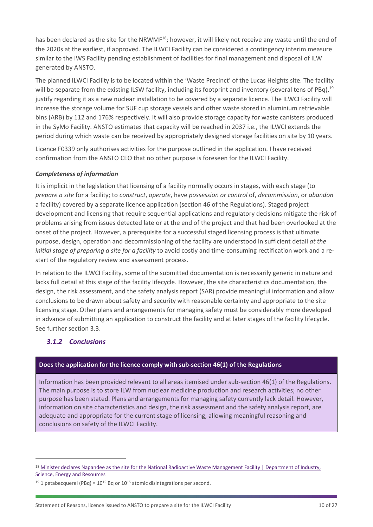has been declared as the site for the NRWMF<sup>18</sup>; however, it will likely not receive any waste until the end of the 2020s at the earliest, if approved. The ILWCI Facility can be considered a contingency interim measure similar to the IWS Facility pending establishment of facilities for final management and disposal of ILW generated by ANSTO.

The planned ILWCI Facility is to be located within the 'Waste Precinct' of the Lucas Heights site. The facility will be separate from the existing ILSW facility, including its footprint and inventory (several tens of PBq),<sup>19</sup> justify regarding it as a new nuclear installation to be covered by a separate licence. The ILWCI Facility will increase the storage volume for SUF cup storage vessels and other waste stored in aluminium retrievable bins (ARB) by 112 and 176% respectively. It will also provide storage capacity for waste canisters produced in the SyMo Facility. ANSTO estimates that capacity will be reached in 2037 i.e., the ILWCI extends the period during which waste can be received by appropriately designed storage facilities on site by 10 years.

Licence F0339 only authorises activities for the purpose outlined in the application. I have received confirmation from the ANSTO CEO that no other purpose is foreseen for the ILWCI Facility.

## *Completeness of information*

It is implicit in the legislation that licensing of a facility normally occurs in stages, with each stage (to *prepare a site* for a facility; to *construct*, *operate*, have *possession or control* of, *decommission*, or *abandon* a facility) covered by a separate licence application (section 46 of the Regulations). Staged project development and licensing that require sequential applications and regulatory decisions mitigate the risk of problems arising from issues detected late or at the end of the project and that had been overlooked at the onset of the project. However, a prerequisite for a successful staged licensing process is that ultimate purpose, design, operation and decommissioning of the facility are understood in sufficient detail *at the initial stage of preparing a site for a facility* to avoid costly and time-consuming rectification work and a restart of the regulatory review and assessment process.

In relation to the ILWCI Facility, some of the submitted documentation is necessarily generic in nature and lacks full detail at this stage of the facility lifecycle. However, the site characteristics documentation, the design, the risk assessment, and the safety analysis report (SAR) provide meaningful information and allow conclusions to be drawn about safety and security with reasonable certainty and appropriate to the site licensing stage. Other plans and arrangements for managing safety must be considerably more developed in advance of submitting an application to construct the facility and at later stages of the facility lifecycle. See further section 3.3.

## <span id="page-10-0"></span>*3.1.2 Conclusions*

#### **Does the application for the licence comply with sub-section 46(1) of the Regulations**

Information has been provided relevant to all areas itemised under sub-section 46(1) of the Regulations. The main purpose is to store ILW from nuclear medicine production and research activities; no other purpose has been stated. Plans and arrangements for managing safety currently lack detail. However, information on site characteristics and design, the risk assessment and the safety analysis report, are adequate and appropriate for the current stage of licensing, allowing meaningful reasoning and conclusions on safety of the ILWCI Facility.

<sup>&</sup>lt;sup>18</sup> Minister declares Napandee as the site for the National Radioactive Waste Management Facility | Department of Industry, [Science, Energy and Resources](https://www.industry.gov.au/news/minister-declares-napandee-as-the-site-for-the-national-radioactive-waste-management-facility)

<sup>&</sup>lt;sup>19</sup> 1 petabecquerel (PBq) =  $10^{15}$  Bq or  $10^{15}$  atomic disintegrations per second.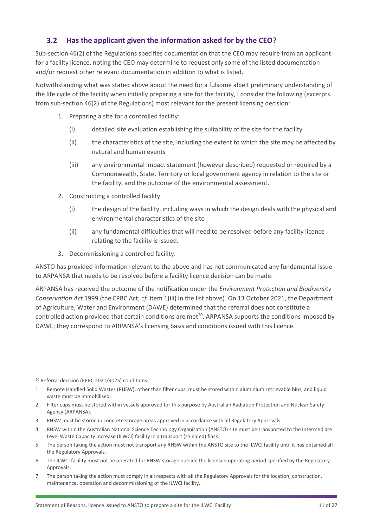## <span id="page-11-0"></span>**3.2 Has the applicant given the information asked for by the CEO?**

Sub-section 46(2) of the Regulations specifies documentation that the CEO may require from an applicant for a facility licence, noting the CEO may determine to request only some of the listed documentation and/or request other relevant documentation in addition to what is listed.

Notwithstanding what was stated above about the need for a fulsome albeit preliminary understanding of the life cycle of the facility when initially preparing a site for the facility, I consider the following (excerpts from sub-section 46(2) of the Regulations) most relevant for the present licensing decision:

- 1. Preparing a site for a controlled facility:
	- (i) detailed site evaluation establishing the suitability of the site for the facility
	- (ii) the characteristics of the site, including the extent to which the site may be affected by natural and human events
	- (iii) any environmental impact statement (however described) requested or required by a Commonwealth, State, Territory or local government agency in relation to the site or the facility, and the outcome of the environmental assessment.
- 2. Constructing a controlled facility
	- (i) the design of the facility, including ways in which the design deals with the physical and environmental characteristics of the site
	- (ii) any fundamental difficulties that will need to be resolved before any facility licence relating to the facility is issued.
- 3. Decommissioning a controlled facility.

ANSTO has provided information relevant to the above and has not communicated any fundamental issue to ARPANSA that needs to be resolved before a facility licence decision can be made.

ARPANSA has received the outcome of the notification under the *Environment Protection and Biodiversity Conservation Act* 1999 (the EPBC Act; *cf*. item 1(iii) in the list above)*.* On 13 October 2021, the Department of Agriculture, Water and Environment (DAWE) determined that the referral does not constitute a controlled action provided that certain conditions are met<sup>20</sup>. ARPANSA supports the conditions imposed by DAWE; they correspond to ARPANSA's licensing basis and conditions issued with this licence.

<sup>20</sup> Referral decision (EPBC 2021/9025) conditions:

- 3. RHSW must be stored in concrete storage areas approved in accordance with all Regulatory Approvals.
- 4. RHSW within the Australian National Science Technology Organisation (ANSTO) site must be transported to the Intermediate Level Waste Capacity Increase (ILWCI) facility in a transport (shielded) flask.
- 5. The person taking the action must not transport any RHSW within the ANSTO site to the ILWCI facility until it has obtained all the Regulatory Approvals.
- 6. The ILWCI facility must not be operated for RHSW storage outside the licensed operating period specified by the Regulatory Approvals.
- 7. The person taking the action must comply in all respects with all the Regulatory Approvals for the location, construction, maintenance, operation and decommissioning of the ILWCI facility.

<sup>1.</sup> Remote Handled Solid Wastes (RHSW), other than filter cups, must be stored within aluminium retrievable bins, and liquid waste must be immobilised.

<sup>2.</sup> Filter cups must be stored within vessels approved for this purpose by Australian Radiation Protection and Nuclear Safety Agency (ARPANSA).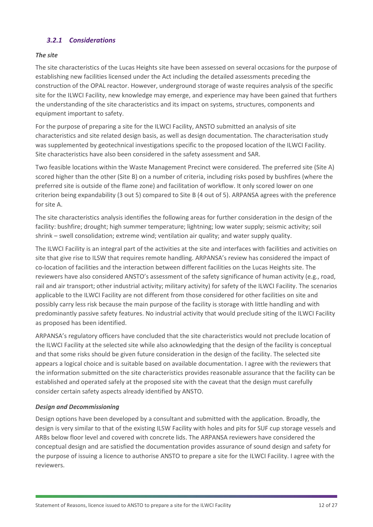## <span id="page-12-0"></span>*3.2.1 Considerations*

#### *The site*

The site characteristics of the Lucas Heights site have been assessed on several occasions for the purpose of establishing new facilities licensed under the Act including the detailed assessments preceding the construction of the OPAL reactor. However, underground storage of waste requires analysis of the specific site for the ILWCI Facility, new knowledge may emerge, and experience may have been gained that furthers the understanding of the site characteristics and its impact on systems, structures, components and equipment important to safety.

For the purpose of preparing a site for the ILWCI Facility, ANSTO submitted an analysis of site characteristics and site related design basis, as well as design documentation. The characterisation study was supplemented by geotechnical investigations specific to the proposed location of the ILWCI Facility. Site characteristics have also been considered in the safety assessment and SAR.

Two feasible locations within the Waste Management Precinct were considered. The preferred site (Site A) scored higher than the other (Site B) on a number of criteria, including risks posed by bushfires (where the preferred site is outside of the flame zone) and facilitation of workflow. It only scored lower on one criterion being expandability (3 out 5) compared to Site B (4 out of 5). ARPANSA agrees with the preference for site A.

The site characteristics analysis identifies the following areas for further consideration in the design of the facility: bushfire; drought; high summer temperature; lightning; low water supply; seismic activity; soil shrink – swell consolidation; extreme wind; ventilation air quality; and water supply quality.

The ILWCI Facility is an integral part of the activities at the site and interfaces with facilities and activities on site that give rise to ILSW that requires remote handling. ARPANSA's review has considered the impact of co-location of facilities and the interaction between different facilities on the Lucas Heights site. The reviewers have also considered ANSTO's assessment of the safety significance of human activity (e.g., road, rail and air transport; other industrial activity; military activity) for safety of the ILWCI Facility. The scenarios applicable to the ILWCI Facility are not different from those considered for other facilities on site and possibly carry less risk because the main purpose of the facility is storage with little handling and with predominantly passive safety features. No industrial activity that would preclude siting of the ILWCI Facility as proposed has been identified.

ARPANSA's regulatory officers have concluded that the site characteristics would not preclude location of the ILWCI Facility at the selected site while also acknowledging that the design of the facility is conceptual and that some risks should be given future consideration in the design of the facility. The selected site appears a logical choice and is suitable based on available documentation. I agree with the reviewers that the information submitted on the site characteristics provides reasonable assurance that the facility can be established and operated safely at the proposed site with the caveat that the design must carefully consider certain safety aspects already identified by ANSTO.

#### *Design and Decommissioning*

Design options have been developed by a consultant and submitted with the application. Broadly, the design is very similar to that of the existing ILSW Facility with holes and pits for SUF cup storage vessels and ARBs below floor level and covered with concrete lids. The ARPANSA reviewers have considered the conceptual design and are satisfied the documentation provides assurance of sound design and safety for the purpose of issuing a licence to authorise ANSTO to prepare a site for the ILWCI Facility. I agree with the reviewers.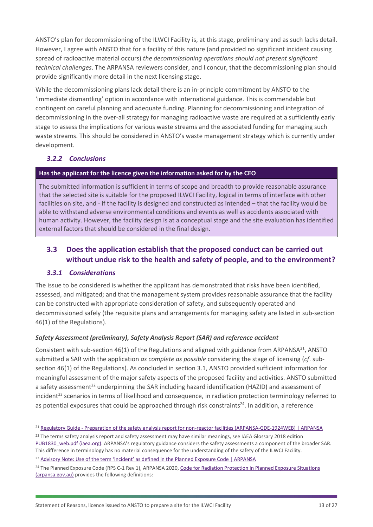ANSTO's plan for decommissioning of the ILWCI Facility is, at this stage, preliminary and as such lacks detail. However, I agree with ANSTO that for a facility of this nature (and provided no significant incident causing spread of radioactive material occurs) *the decommissioning operations should not present significant technical challenges*. The ARPANSA reviewers consider, and I concur, that the decommissioning plan should provide significantly more detail in the next licensing stage.

While the decommissioning plans lack detail there is an in-principle commitment by ANSTO to the 'immediate dismantling' option in accordance with international guidance. This is commendable but contingent on careful planning and adequate funding. Planning for decommissioning and integration of decommissioning in the over-all strategy for managing radioactive waste are required at a sufficiently early stage to assess the implications for various waste streams and the associated funding for managing such waste streams. This should be considered in ANSTO's waste management strategy which is currently under development.

## <span id="page-13-0"></span>*3.2.2 Conclusions*

## **Has the applicant for the licence given the information asked for by the CEO**

The submitted information is sufficient in terms of scope and breadth to provide reasonable assurance that the selected site is suitable for the proposed ILWCI Facility, logical in terms of interface with other facilities on site, and - if the facility is designed and constructed as intended – that the facility would be able to withstand adverse environmental conditions and events as well as accidents associated with human activity. However, the facility design is at a conceptual stage and the site evaluation has identified external factors that should be considered in the final design.

## <span id="page-13-1"></span>**3.3 Does the application establish that the proposed conduct can be carried out without undue risk to the health and safety of people, and to the environment?**

## <span id="page-13-2"></span>*3.3.1 Considerations*

The issue to be considered is whether the applicant has demonstrated that risks have been identified, assessed, and mitigated; and that the management system provides reasonable assurance that the facility can be constructed with appropriate consideration of safety, and subsequently operated and decommissioned safely (the requisite plans and arrangements for managing safety are listed in sub-section 46(1) of the Regulations).

#### *Safety Assessment (preliminary), Safety Analysis Report (SAR) and reference accident*

Consistent with sub-section 46(1) of the Regulations and aligned with guidance from ARPANSA<sup>21</sup>, ANSTO submitted a SAR with the application *as complete as possible* considering the stage of licensing (*cf*. subsection 46(1) of the Regulations). As concluded in section 3.1, ANSTO provided sufficient information for meaningful assessment of the major safety aspects of the proposed facility and activities. ANSTO submitted a safety assessment<sup>22</sup> underpinning the SAR including hazard identification (HAZID) and assessment of incident<sup>23</sup> scenarios in terms of likelihood and consequence, in radiation protection terminology referred to as potential exposures that could be approached through risk constraints<sup>24</sup>. In addition, a reference

<sup>21</sup> Regulatory Guide - [Preparation of the safety analysis report for non-reactor facilities \(ARPANSA-GDE-1924WEB\) | ARPANSA](https://www.arpansa.gov.au/regulation-and-licensing/licensing/information-for-licence-holders/regulatory-guides/regulatory-guide-preparation-safety-analysis)

<sup>&</sup>lt;sup>22</sup> The terms safety analysis report and safety assessment may have similar meanings, see IAEA Glossary 2018 edition [PUB1830\\_web.pdf \(iaea.org\).](https://www-pub.iaea.org/MTCD/Publications/PDF/PUB1830_web.pdf) ARPANSA's regulatory guidance considers the safety assessments a component of the broader SAR. This difference in terminology has no material consequence for the understanding of the safety of the ILWCI Facility.

<sup>&</sup>lt;sup>23</sup> Advisory Note: Use [of the term 'incident' as defined in the Planned Exposure Code | ARPANSA](https://www.arpansa.gov.au/regulation-and-licensing/regulatory-publications/radiation-protection-series/codes-and-standards/rpsc-1/advisory-note)

<sup>&</sup>lt;sup>24</sup> The Planned Exposure Code (RPS C-1 Rev 1), ARPANSA 2020, Code for Radiation Protection in Planned Exposure Situations [\(arpansa.gov.au\)](https://www.arpansa.gov.au/sites/default/files/rps_c-1_rev_1.pdf) provides the following definitions: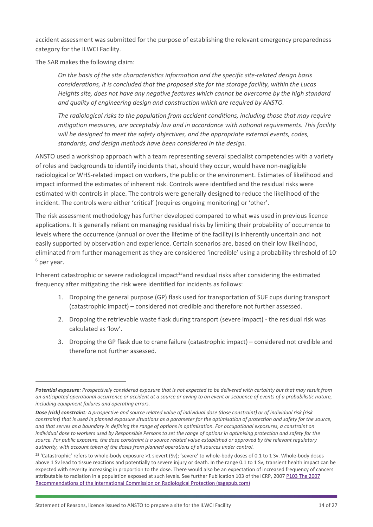accident assessment was submitted for the purpose of establishing the relevant emergency preparedness category for the ILWCI Facility.

The SAR makes the following claim:

*On the basis of the site characteristics information and the specific site-related design basis considerations, it is concluded that the proposed site for the storage facility, within the Lucas Heights site, does not have any negative features which cannot be overcome by the high standard and quality of engineering design and construction which are required by ANSTO.*

*The radiological risks to the population from accident conditions, including those that may require mitigation measures, are acceptably low and in accordance with national requirements. This facility will be designed to meet the safety objectives, and the appropriate external events, codes, standards, and design methods have been considered in the design.*

ANSTO used a workshop approach with a team representing several specialist competencies with a variety of roles and backgrounds to identify incidents that, should they occur, would have non-negligible radiological or WHS-related impact on workers, the public or the environment. Estimates of likelihood and impact informed the estimates of inherent risk. Controls were identified and the residual risks were estimated with controls in place. The controls were generally designed to reduce the likelihood of the incident. The controls were either 'critical' (requires ongoing monitoring) or 'other'.

The risk assessment methodology has further developed compared to what was used in previous licence applications. It is generally reliant on managing residual risks by limiting their probability of occurrence to levels where the occurrence (annual or over the lifetime of the facility) is inherently uncertain and not easily supported by observation and experience. Certain scenarios are, based on their low likelihood, eliminated from further management as they are considered 'incredible' using a probability threshold of 10-  $6$  per year.

Inherent catastrophic or severe radiological impact<sup>25</sup>and residual risks after considering the estimated frequency after mitigating the risk were identified for incidents as follows:

- 1. Dropping the general purpose (GP) flask used for transportation of SUF cups during transport (catastrophic impact) – considered not credible and therefore not further assessed.
- 2. Dropping the retrievable waste flask during transport (severe impact) the residual risk was calculated as 'low'.
- 3. Dropping the GP flask due to crane failure (catastrophic impact) considered not credible and therefore not further assessed.

*Potential exposure: Prospectively considered exposure that is not expected to be delivered with certainty but that may result from an anticipated operational occurrence or accident at a source or owing to an event or sequence of events of a probabilistic nature, including equipment failures and operating errors.*

*Dose (risk) constraint: A prospective and source related value of individual dose (dose constraint) or of individual risk (risk constraint) that is used in planned exposure situations as a parameter for the optimisation of protection and safety for the source, and that serves as a boundary in defining the range of options in optimisation. For occupational exposures, a constraint on individual dose to workers used by Responsible Persons to set the range of options in optimising protection and safety for the source. For public exposure, the dose constraint is a source related value established or approved by the relevant regulatory authority, with account taken of the doses from planned operations of all sources under control.*

<sup>25</sup> 'Catastrophic' refers to whole-body exposure >1 sievert (Sv); 'severe' to whole-body doses of 0.1 to 1 Sv. Whole-body doses above 1 Sv lead to tissue reactions and potentially to severe injury or death. In the range 0.1 to 1 Sv, transient health impact can be expected with severity increasing in proportion to the dose. There would also be an expectation of increased frequency of cancers attributable to radiation in a population exposed at such levels. See further Publication 103 of the ICRP, 2007 [P103 The 2007](https://journals.sagepub.com/doi/pdf/10.1177/ANIB_37_2-4)  [Recommendations of the International Commission on Radiological Protection \(sagepub.com\)](https://journals.sagepub.com/doi/pdf/10.1177/ANIB_37_2-4)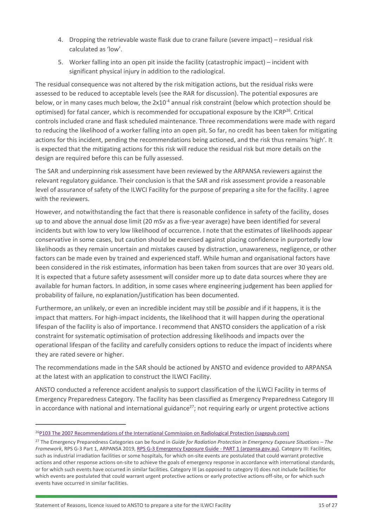- 4. Dropping the retrievable waste flask due to crane failure (severe impact) residual risk calculated as 'low'.
- 5. Worker falling into an open pit inside the facility (catastrophic impact) incident with significant physical injury in addition to the radiological.

The residual consequence was not altered by the risk mitigation actions, but the residual risks were assessed to be reduced to acceptable levels (see the RAR for discussion). The potential exposures are below, or in many cases much below, the  $2x10^{-4}$  annual risk constraint (below which protection should be optimised) for fatal cancer, which is recommended for occupational exposure by the ICRP<sup>26</sup>. Critical controls included crane and flask scheduled maintenance. Three recommendations were made with regard to reducing the likelihood of a worker falling into an open pit. So far, no credit has been taken for mitigating actions for this incident, pending the recommendations being actioned, and the risk thus remains 'high'. It is expected that the mitigating actions for this risk will reduce the residual risk but more details on the design are required before this can be fully assessed.

The SAR and underpinning risk assessment have been reviewed by the ARPANSA reviewers against the relevant regulatory guidance. Their conclusion is that the SAR and risk assessment provide a reasonable level of assurance of safety of the ILWCI Facility for the purpose of preparing a site for the facility. I agree with the reviewers.

However, and notwithstanding the fact that there is reasonable confidence in safety of the facility, doses up to and above the annual dose limit (20 mSv as a five-year average) have been identified for several incidents but with low to very low likelihood of occurrence. I note that the estimates of likelihoods appear conservative in some cases, but caution should be exercised against placing confidence in purportedly low likelihoods as they remain uncertain and mistakes caused by distraction, unawareness, negligence, or other factors can be made even by trained and experienced staff. While human and organisational factors have been considered in the risk estimates, information has been taken from sources that are over 30 years old. It is expected that a future safety assessment will consider more up to date data sources where they are available for human factors. In addition, in some cases where engineering judgement has been applied for probability of failure, no explanation/justification has been documented.

Furthermore, an unlikely, or even an incredible incident may still be *possible* and if it happens, it is the impact that matters. For high-impact incidents, the likelihood that it will happen during the operational lifespan of the facility is also of importance. I recommend that ANSTO considers the application of a risk constraint for systematic optimisation of protection addressing likelihoods and impacts over the operational lifespan of the facility and carefully considers options to reduce the impact of incidents where they are rated severe or higher.

The recommendations made in the SAR should be actioned by ANSTO and evidence provided to ARPANSA at the latest with an application to construct the ILWCI Facility.

ANSTO conducted a reference accident analysis to support classification of the ILWCI Facility in terms of Emergency Preparedness Category. The facility has been classified as Emergency Preparedness Category III in accordance with national and international guidance<sup>27</sup>; not requiring early or urgent protective actions

<sup>&</sup>lt;sup>26</sup>[P103 The 2007 Recommendations of the International Commission on Radiological Protection \(sagepub.com\)](https://journals.sagepub.com/doi/pdf/10.1177/ANIB_37_2-4)

<sup>27</sup> The Emergency Preparedness Categories can be found in *Guide for Radiation Protection in Emergency Exposure Situations – The Framework*, RPS G-3 Part 1, ARPANSA 2019, [RPS G-3 Emergency Exposure Guide -](https://www.arpansa.gov.au/sites/default/files/rps-g-3-part-1-2019.pdf) PART 1 (arpansa.gov.au). Category III: Facilities, such as industrial irradiation facilities or some hospitals, for which on-site events are postulated that could warrant protective actions and other response actions on-site to achieve the goals of emergency response in accordance with international standards, or for which such events have occurred in similar facilities. Category III (as opposed to category II) does not include facilities for which events are postulated that could warrant urgent protective actions or early protective actions off-site, or for which such events have occurred in similar facilities.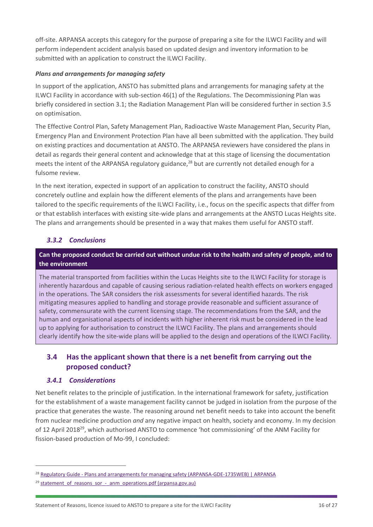off-site. ARPANSA accepts this category for the purpose of preparing a site for the ILWCI Facility and will perform independent accident analysis based on updated design and inventory information to be submitted with an application to construct the ILWCI Facility.

#### *Plans and arrangements for managing safety*

In support of the application, ANSTO has submitted plans and arrangements for managing safety at the ILWCI Facility in accordance with sub-section 46(1) of the Regulations. The Decommissioning Plan was briefly considered in section 3.1; the Radiation Management Plan will be considered further in section 3.5 on optimisation.

The Effective Control Plan, Safety Management Plan, Radioactive Waste Management Plan, Security Plan, Emergency Plan and Environment Protection Plan have all been submitted with the application. They build on existing practices and documentation at ANSTO. The ARPANSA reviewers have considered the plans in detail as regards their general content and acknowledge that at this stage of licensing the documentation meets the intent of the ARPANSA regulatory guidance,<sup>28</sup> but are currently not detailed enough for a fulsome review.

In the next iteration, expected in support of an application to construct the facility, ANSTO should concretely outline and explain how the different elements of the plans and arrangements have been tailored to the specific requirements of the ILWCI Facility, i.e., focus on the specific aspects that differ from or that establish interfaces with existing site-wide plans and arrangements at the ANSTO Lucas Heights site. The plans and arrangements should be presented in a way that makes them useful for ANSTO staff.

## <span id="page-16-0"></span>*3.3.2 Conclusions*

## **Can the proposed conduct be carried out without undue risk to the health and safety of people, and to the environment**

The material transported from facilities within the Lucas Heights site to the ILWCI Facility for storage is inherently hazardous and capable of causing serious radiation-related health effects on workers engaged in the operations. The SAR considers the risk assessments for several identified hazards. The risk mitigating measures applied to handling and storage provide reasonable and sufficient assurance of safety, commensurate with the current licensing stage. The recommendations from the SAR, and the human and organisational aspects of incidents with higher inherent risk must be considered in the lead up to applying for authorisation to construct the ILWCI Facility. The plans and arrangements should clearly identify how the site-wide plans will be applied to the design and operations of the ILWCI Facility.

## <span id="page-16-1"></span>**3.4 Has the applicant shown that there is a net benefit from carrying out the proposed conduct?**

#### <span id="page-16-2"></span>*3.4.1 Considerations*

Net benefit relates to the principle of justification. In the international framework for safety, justification for the establishment of a waste management facility cannot be judged in isolation from the purpose of the practice that generates the waste. The reasoning around net benefit needs to take into account the benefit from nuclear medicine production *and* any negative impact on health, society and economy. In my decision of 12 April 2018<sup>29</sup>, which authorised ANSTO to commence 'hot commissioning' of the ANM Facility for fission-based production of Mo-99, I concluded:

<sup>&</sup>lt;sup>28</sup> Regulatory Guide - [Plans and arrangements for managing safety \(ARPANSA-GDE-1735WEB\) | ARPANSA](https://www.arpansa.gov.au/regulation-and-licensing/licensing/information-for-licence-holders/regulatory-guides/regulatory-guide-plans-and-arrangements)

 $29$  statement of reasons sor - anm operations.pdf (arpansa.gov.au)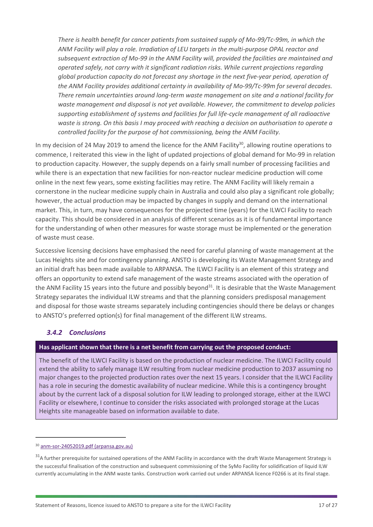*There is health benefit for cancer patients from sustained supply of Mo-99/Tc-99m, in which the ANM Facility will play a role. Irradiation of LEU targets in the multi-purpose OPAL reactor and subsequent extraction of Mo-99 in the ANM Facility will, provided the facilities are maintained and operated safely, not carry with it significant radiation risks. While current projections regarding global production capacity do not forecast any shortage in the next five-year period, operation of the ANM Facility provides additional certainty in availability of Mo-99/Tc-99m for several decades. There remain uncertainties around long-term waste management on site and a national facility for waste management and disposal is not yet available. However, the commitment to develop policies supporting establishment of systems and facilities for full life-cycle management of all radioactive waste is strong. On this basis I may proceed with reaching a decision on authorisation to operate a controlled facility for the purpose of hot commissioning, being the ANM Facility.*

In my decision of 24 May 2019 to amend the licence for the ANM Facility<sup>30</sup>, allowing routine operations to commence, I reiterated this view in the light of updated projections of global demand for Mo-99 in relation to production capacity. However, the supply depends on a fairly small number of processing facilities and while there is an expectation that new facilities for non-reactor nuclear medicine production will come online in the next few years, some existing facilities may retire. The ANM Facility will likely remain a cornerstone in the nuclear medicine supply chain in Australia and could also play a significant role globally; however, the actual production may be impacted by changes in supply and demand on the international market. This, in turn, may have consequences for the projected time (years) for the ILWCI Facility to reach capacity. This should be considered in an analysis of different scenarios as it is of fundamental importance for the understanding of when other measures for waste storage must be implemented or the generation of waste must cease.

Successive licensing decisions have emphasised the need for careful planning of waste management at the Lucas Heights site and for contingency planning. ANSTO is developing its Waste Management Strategy and an initial draft has been made available to ARPANSA. The ILWCI Facility is an element of this strategy and offers an opportunity to extend safe management of the waste streams associated with the operation of the ANM Facility 15 years into the future and possibly beyond<sup>31</sup>. It is desirable that the Waste Management Strategy separates the individual ILW streams and that the planning considers predisposal management and disposal for those waste streams separately including contingencies should there be delays or changes to ANSTO's preferred option(s) for final management of the different ILW streams.

## <span id="page-17-0"></span>*3.4.2 Conclusions*

#### **Has applicant shown that there is a net benefit from carrying out the proposed conduct:**

The benefit of the ILWCI Facility is based on the production of nuclear medicine. The ILWCI Facility could extend the ability to safely manage ILW resulting from nuclear medicine production to 2037 assuming no major changes to the projected production rates over the next 15 years. I consider that the ILWCI Facility has a role in securing the domestic availability of nuclear medicine. While this is a contingency brought about by the current lack of a disposal solution for ILW leading to prolonged storage, either at the ILWCI Facility or elsewhere, I continue to consider the risks associated with prolonged storage at the Lucas Heights site manageable based on information available to date.

<sup>30</sup> [anm-sor-24052019.pdf \(arpansa.gov.au\)](https://www.arpansa.gov.au/sites/default/files/anm-sor-24052019.pdf)

<sup>&</sup>lt;sup>31</sup>A further prerequisite for sustained operations of the ANM Facility in accordance with the draft Waste Management Strategy is the successful finalisation of the construction and subsequent commissioning of the SyMo Facility for solidification of liquid ILW currently accumulating in the ANM waste tanks. Construction work carried out under ARPANSA licence F0266 is at its final stage.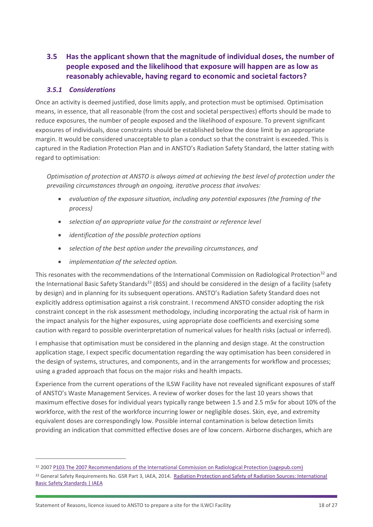## <span id="page-18-0"></span>**3.5 Has the applicant shown that the magnitude of individual doses, the number of people exposed and the likelihood that exposure will happen are as low as reasonably achievable, having regard to economic and societal factors?**

## <span id="page-18-1"></span>*3.5.1 Considerations*

Once an activity is deemed justified, dose limits apply, and protection must be optimised. Optimisation means, in essence, that all reasonable (from the cost and societal perspectives) efforts should be made to reduce exposures, the number of people exposed and the likelihood of exposure. To prevent significant exposures of individuals, dose constraints should be established below the dose limit by an appropriate margin. It would be considered unacceptable to plan a conduct so that the constraint is exceeded. This is captured in the Radiation Protection Plan and in ANSTO's Radiation Safety Standard, the latter stating with regard to optimisation:

*Optimisation of protection at ANSTO is always aimed at achieving the best level of protection under the prevailing circumstances through an ongoing, iterative process that involves:*

- *evaluation of the exposure situation, including any potential exposures (the framing of the process)*
- *selection of an appropriate value for the constraint or reference level*
- *identification of the possible protection options*
- *selection of the best option under the prevailing circumstances, and*
- *implementation of the selected option.*

This resonates with the recommendations of the International Commission on Radiological Protection<sup>32</sup> and the International Basic Safety Standards<sup>33</sup> (BSS) and should be considered in the design of a facility (safety by design) and in planning for its subsequent operations. ANSTO's Radiation Safety Standard does not explicitly address optimisation against a risk constraint. I recommend ANSTO consider adopting the risk constraint concept in the risk assessment methodology, including incorporating the actual risk of harm in the impact analysis for the higher exposures, using appropriate dose coefficients and exercising some caution with regard to possible overinterpretation of numerical values for health risks (actual or inferred).

I emphasise that optimisation must be considered in the planning and design stage. At the construction application stage, I expect specific documentation regarding the way optimisation has been considered in the design of systems, structures, and components, and in the arrangements for workflow and processes; using a graded approach that focus on the major risks and health impacts.

Experience from the current operations of the ILSW Facility have not revealed significant exposures of staff of ANSTO's Waste Management Services. A review of worker doses for the last 10 years shows that maximum effective doses for individual years typically range between 1.5 and 2.5 mSv for about 10% of the workforce, with the rest of the workforce incurring lower or negligible doses. Skin, eye, and extremity equivalent doses are correspondingly low. Possible internal contamination is below detection limits providing an indication that committed effective doses are of low concern. Airborne discharges, which are

<sup>32</sup> 2007 [P103 The 2007 Recommendations of the International Commission on Radiological Protection \(sagepub.com\)](https://journals.sagepub.com/doi/pdf/10.1177/ANIB_37_2-4)

<sup>33</sup> General Safety Requirements No. GSR Part 3, IAEA, 2014. [Radiation Protection and Safety of Radiation Sources: International](https://www.iaea.org/publications/8930/radiation-protection-and-safety-of-radiation-sources-international-basic-safety-standards)  [Basic Safety Standards | IAEA](https://www.iaea.org/publications/8930/radiation-protection-and-safety-of-radiation-sources-international-basic-safety-standards)

Statement of Reasons, licence issued to ANSTO to prepare a site for the ILWCI Facility 18 of 27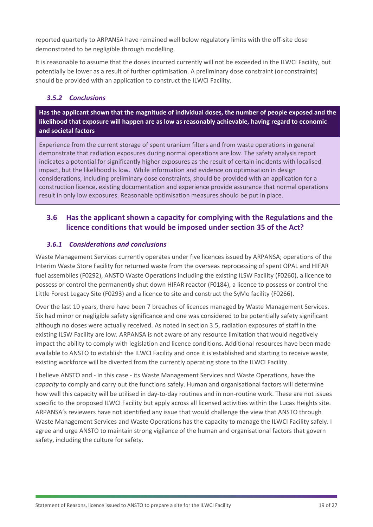reported quarterly to ARPANSA have remained well below regulatory limits with the off-site dose demonstrated to be negligible through modelling.

It is reasonable to assume that the doses incurred currently will not be exceeded in the ILWCI Facility, but potentially be lower as a result of further optimisation. A preliminary dose constraint (or constraints) should be provided with an application to construct the ILWCI Facility.

## <span id="page-19-0"></span>*3.5.2 Conclusions*

**Has the applicant shown that the magnitude of individual doses, the number of people exposed and the likelihood that exposure will happen are as low as reasonably achievable, having regard to economic and societal factors**

Experience from the current storage of spent uranium filters and from waste operations in general demonstrate that radiation exposures during normal operations are low. The safety analysis report indicates a potential for significantly higher exposures as the result of certain incidents with localised impact, but the likelihood is low. While information and evidence on optimisation in design considerations, including preliminary dose constraints, should be provided with an application for a construction licence, existing documentation and experience provide assurance that normal operations result in only low exposures. Reasonable optimisation measures should be put in place.

## <span id="page-19-1"></span>**3.6 Has the applicant shown a capacity for complying with the Regulations and the licence conditions that would be imposed under section 35 of the Act?**

#### <span id="page-19-2"></span>*3.6.1 Considerations and conclusions*

Waste Management Services currently operates under five licences issued by ARPANSA; operations of the Interim Waste Store Facility for returned waste from the overseas reprocessing of spent OPAL and HIFAR fuel assemblies (F0292), ANSTO Waste Operations including the existing ILSW Facility (F0260), a licence to possess or control the permanently shut down HIFAR reactor (F0184), a licence to possess or control the Little Forest Legacy Site (F0293) and a licence to site and construct the SyMo facility (F0266).

Over the last 10 years, there have been 7 breaches of licences managed by Waste Management Services. Six had minor or negligible safety significance and one was considered to be potentially safety significant although no doses were actually received. As noted in section 3.5, radiation exposures of staff in the existing ILSW Facility are low. ARPANSA is not aware of any resource limitation that would negatively impact the ability to comply with legislation and licence conditions. Additional resources have been made available to ANSTO to establish the ILWCI Facility and once it is established and starting to receive waste, existing workforce will be diverted from the currently operating store to the ILWCI Facility.

I believe ANSTO and - in this case - its Waste Management Services and Waste Operations, have the *capacity* to comply and carry out the functions safely. Human and organisational factors will determine how well this capacity will be utilised in day-to-day routines and in non-routine work. These are not issues specific to the proposed ILWCI Facility but apply across all licensed activities within the Lucas Heights site. ARPANSA's reviewers have not identified any issue that would challenge the view that ANSTO through Waste Management Services and Waste Operations has the capacity to manage the ILWCI Facility safely. I agree and urge ANSTO to maintain strong vigilance of the human and organisational factors that govern safety, including the culture for safety.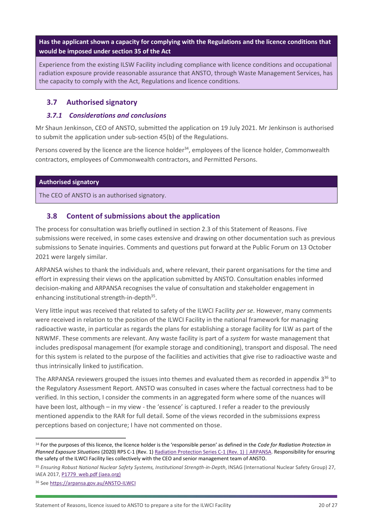**Has the applicant shown a capacity for complying with the Regulations and the licence conditions that would be imposed under section 35 of the Act**

Experience from the existing ILSW Facility including compliance with licence conditions and occupational radiation exposure provide reasonable assurance that ANSTO, through Waste Management Services, has the capacity to comply with the Act, Regulations and licence conditions.

## <span id="page-20-0"></span>**3.7 Authorised signatory**

## <span id="page-20-1"></span>*3.7.1 Considerations and conclusions*

Mr Shaun Jenkinson, CEO of ANSTO, submitted the application on 19 July 2021. Mr Jenkinson is authorised to submit the application under sub-section 45(b) of the Regulations.

Persons covered by the licence are the licence holder $34$ , employees of the licence holder, Commonwealth contractors, employees of Commonwealth contractors, and Permitted Persons.

#### **Authorised signatory**

The CEO of ANSTO is an authorised signatory.

## <span id="page-20-2"></span>**3.8 Content of submissions about the application**

The process for consultation was briefly outlined in section 2.3 of this Statement of Reasons. Five submissions were received, in some cases extensive and drawing on other documentation such as previous submissions to Senate inquiries. Comments and questions put forward at the Public Forum on 13 October 2021 were largely similar.

ARPANSA wishes to thank the individuals and, where relevant, their parent organisations for the time and effort in expressing their views on the application submitted by ANSTO. Consultation enables informed decision-making and ARPANSA recognises the value of consultation and stakeholder engagement in enhancing institutional strength-in-depth<sup>35</sup>.

Very little input was received that related to safety of the ILWCI Facility *per se*. However, many comments were received in relation to the position of the ILWCI Facility in the national framework for managing radioactive waste, in particular as regards the plans for establishing a storage facility for ILW as part of the NRWMF. These comments are relevant. Any waste facility is part of a *system* for waste management that includes predisposal management (for example storage and conditioning), transport and disposal. The need for this system is related to the purpose of the facilities and activities that give rise to radioactive waste and thus intrinsically linked to justification.

The ARPANSA reviewers grouped the issues into themes and evaluated them as recorded in appendix 3<sup>36</sup> to the Regulatory Assessment Report. ANSTO was consulted in cases where the factual correctness had to be verified. In this section, I consider the comments in an aggregated form where some of the nuances will have been lost, although – in my view - the 'essence' is captured. I refer a reader to the previously mentioned appendix to the RAR for full detail. Some of the views recorded in the submissions express perceptions based on conjecture; I have not commented on those.

<sup>34</sup> For the purposes of this licence, the licence holder is the 'responsible person' as defined in the *Code for Radiation Protection in Planned Exposure Situations* (2020) RPS C-1 (Rev. 1) [Radiation Protection Series C-1 \(Rev. 1\) | ARPANSA.](https://www.arpansa.gov.au/regulation-and-licensing/regulatory-publications/radiation-protection-series/codes-and-standards/rpsc-1) Responsibility for ensuring the safety of the ILWCI Facility lies collectively with the CEO and senior management team of ANSTO.

<sup>35</sup> *Ensuring Robust National Nuclear Safety Systems, Institutional Strength-in-Depth*, INSAG (International Nuclear Safety Group) 27, IAEA 2017, [P1779\\_web.pdf \(iaea.org\)](https://www-pub.iaea.org/MTCD/Publications/PDF/P1779_web.pdf)

<sup>36</sup> See [https://arpansa.gov.au/ANSTO-ILWCI](https://aus01.safelinks.protection.outlook.com/?url=https%3A%2F%2Farpansa.gov.au%2FANSTO-ILWCI&data=04%7C01%7Cfrancesca.wigney%40arpansa.gov.au%7Cc6c8cc6c4a3c489898fe08d9f5b9d920%7Ce23b734400e149cb94682759cc63a844%7C0%7C0%7C637811000825718578%7CUnknown%7CTWFpbGZsb3d8eyJWIjoiMC4wLjAwMDAiLCJQIjoiV2luMzIiLCJBTiI6Ik1haWwiLCJXVCI6Mn0%3D%7C3000&sdata=WG87MQKdwFpmNxj3cn4FMp2jAleHhCGSKk4eNlxzqow%3D&reserved=0)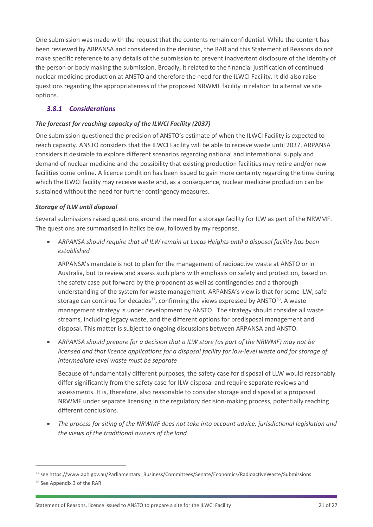One submission was made with the request that the contents remain confidential. While the content has been reviewed by ARPANSA and considered in the decision, the RAR and this Statement of Reasons do not make specific reference to any details of the submission to prevent inadvertent disclosure of the identity of the person or body making the submission. Broadly, it related to the financial justification of continued nuclear medicine production at ANSTO and therefore the need for the ILWCI Facility. It did also raise questions regarding the appropriateness of the proposed NRWMF facility in relation to alternative site options.

## <span id="page-21-0"></span>*3.8.1 Considerations*

#### *The forecast for reaching capacity of the ILWCI Facility (2037)*

One submission questioned the precision of ANSTO's estimate of when the ILWCI Facility is expected to reach capacity. ANSTO considers that the ILWCI Facility will be able to receive waste until 2037. ARPANSA considers it desirable to explore different scenarios regarding national and international supply and demand of nuclear medicine and the possibility that existing production facilities may retire and/or new facilities come online. A licence condition has been issued to gain more certainty regarding the time during which the ILWCI facility may receive waste and, as a consequence, nuclear medicine production can be sustained without the need for further contingency measures.

#### *Storage of ILW until disposal*

Several submissions raised questions around the need for a storage facility for ILW as part of the NRWMF. The questions are summarised in italics below, followed by my response.

• *ARPANSA should require that all ILW remain at Lucas Heights until a disposal facility has been established*

ARPANSA's mandate is not to plan for the management of radioactive waste at ANSTO or in Australia, but to review and assess such plans with emphasis on safety and protection, based on the safety case put forward by the proponent as well as contingencies and a thorough understanding of the system for waste management. ARPANSA's view is that for some ILW, safe storage can continue for decades<sup>37</sup>, confirming the views expressed by ANSTO<sup>38</sup>. A waste management strategy is under development by ANSTO. The strategy should consider all waste streams, including legacy waste, and the different options for predisposal management and disposal. This matter is subject to ongoing discussions between ARPANSA and ANSTO.

• *ARPANSA should prepare for a decision that a ILW store (as part of the NRWMF) may not be licensed and that licence applications for a disposal facility for low-level waste and for storage of intermediate level waste must be separate* 

Because of fundamentally different purposes, the safety case for disposal of LLW would reasonably differ significantly from the safety case for ILW disposal and require separate reviews and assessments. It is, therefore, also reasonable to consider storage and disposal at a proposed NRWMF under separate licensing in the regulatory decision-making process, potentially reaching different conclusions.

• *The process for siting of the NRWMF does not take into account advice, jurisdictional legislation and the views of the traditional owners of the land*

<sup>37</sup> see https://www.aph.gov.au/Parliamentary\_Business/Committees/Senate/Economics/RadioactiveWaste/Submissions <sup>38</sup> See Appendix 3 of the RAR

Statement of Reasons, licence issued to ANSTO to prepare a site for the ILWCI Facility 21 06 27 21 21 of 27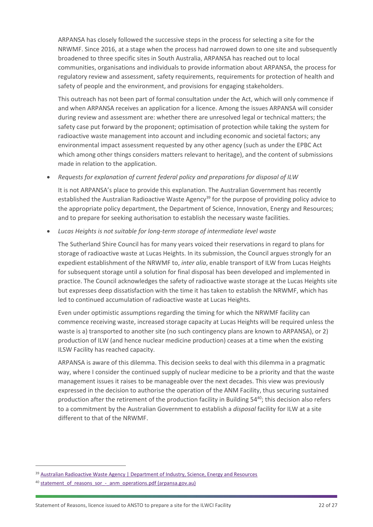ARPANSA has closely followed the successive steps in the process for selecting a site for the NRWMF. Since 2016, at a stage when the process had narrowed down to one site and subsequently broadened to three specific sites in South Australia, ARPANSA has reached out to local communities, organisations and individuals to provide information about ARPANSA, the process for regulatory review and assessment, safety requirements, requirements for protection of health and safety of people and the environment, and provisions for engaging stakeholders.

This outreach has not been part of formal consultation under the Act, which will only commence if and when ARPANSA receives an application for a licence. Among the issues ARPANSA will consider during review and assessment are: whether there are unresolved legal or technical matters; the safety case put forward by the proponent; optimisation of protection while taking the system for radioactive waste management into account and including economic and societal factors; any environmental impact assessment requested by any other agency (such as under the EPBC Act which among other things considers matters relevant to heritage), and the content of submissions made in relation to the application.

• *Requests for explanation of current federal policy and preparations for disposal of ILW*

It is not ARPANSA's place to provide this explanation. The Australian Government has recently established the Australian Radioactive Waste Agency<sup>39</sup> for the purpose of providing policy advice to the appropriate policy department, the Department of Science, Innovation, Energy and Resources; and to prepare for seeking authorisation to establish the necessary waste facilities.

• *Lucas Heights is not suitable for long-term storage of intermediate level waste*

The Sutherland Shire Council has for many years voiced their reservations in regard to plans for storage of radioactive waste at Lucas Heights. In its submission, the Council argues strongly for an expedient establishment of the NRWMF to, *inter alia*, enable transport of ILW from Lucas Heights for subsequent storage until a solution for final disposal has been developed and implemented in practice. The Council acknowledges the safety of radioactive waste storage at the Lucas Heights site but expresses deep dissatisfaction with the time it has taken to establish the NRWMF, which has led to continued accumulation of radioactive waste at Lucas Heights.

Even under optimistic assumptions regarding the timing for which the NRWMF facility can commence receiving waste, increased storage capacity at Lucas Heights will be required unless the waste is a) transported to another site (no such contingency plans are known to ARPANSA), or 2) production of ILW (and hence nuclear medicine production) ceases at a time when the existing ILSW Facility has reached capacity.

ARPANSA is aware of this dilemma. This decision seeks to deal with this dilemma in a pragmatic way, where I consider the continued supply of nuclear medicine to be a priority and that the waste management issues it raises to be manageable over the next decades. This view was previously expressed in the decision to authorise the operation of the ANM Facility, thus securing sustained production after the retirement of the production facility in Building 54<sup>40</sup>; this decision also refers to a commitment by the Australian Government to establish a *disposal* facility for ILW at a site different to that of the NRWMF.

<sup>&</sup>lt;sup>39</sup> [Australian Radioactive Waste Agency | Department of Industry, Science, Energy and Resources](https://www.industry.gov.au/policies-and-initiatives/australian-radioactive-waste-agency)

<sup>&</sup>lt;sup>40</sup> statement of reasons sor - anm operations.pdf (arpansa.gov.au)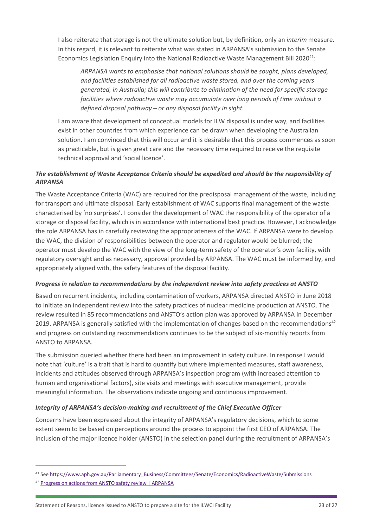I also reiterate that storage is not the ultimate solution but, by definition, only an *interim* measure. In this regard, it is relevant to reiterate what was stated in ARPANSA's submission to the Senate Economics Legislation Enquiry into the National Radioactive Waste Management Bill 2020<sup>41</sup>:

*ARPANSA wants to emphasise that national solutions should be sought, plans developed, and facilities established for all radioactive waste stored, and over the coming years generated, in Australia; this will contribute to elimination of the need for specific storage facilities where radioactive waste may accumulate over long periods of time without a defined disposal pathway – or any disposal facility in sight.*

I am aware that development of conceptual models for ILW disposal is under way, and facilities exist in other countries from which experience can be drawn when developing the Australian solution. I am convinced that this will occur and it is desirable that this process commences as soon as practicable, but is given great care and the necessary time required to receive the requisite technical approval and 'social licence'.

## *The establishment of Waste Acceptance Criteria should be expedited and should be the responsibility of ARPANSA*

The Waste Acceptance Criteria (WAC) are required for the predisposal management of the waste, including for transport and ultimate disposal. Early establishment of WAC supports final management of the waste characterised by 'no surprises'. I consider the development of WAC the responsibility of the operator of a storage or disposal facility, which is in accordance with international best practice. However, I acknowledge the role ARPANSA has in carefully reviewing the appropriateness of the WAC. If ARPANSA were to develop the WAC, the division of responsibilities between the operator and regulator would be blurred; the operator must develop the WAC with the view of the long-term safety of the operator's own facility, with regulatory oversight and as necessary, approval provided by ARPANSA. The WAC must be informed by, and appropriately aligned with, the safety features of the disposal facility.

#### *Progress in relation to recommendations by the independent review into safety practices at ANSTO*

Based on recurrent incidents, including contamination of workers, ARPANSA directed ANSTO in June 2018 to initiate an independent review into the safety practices of nuclear medicine production at ANSTO. The review resulted in 85 recommendations and ANSTO's action plan was approved by ARPANSA in December 2019. ARPANSA is generally satisfied with the implementation of changes based on the recommendations<sup>42</sup> and progress on outstanding recommendations continues to be the subject of six-monthly reports from ANSTO to ARPANSA.

The submission queried whether there had been an improvement in safety culture. In response I would note that 'culture' is a trait that is hard to quantify but where implemented measures, staff awareness, incidents and attitudes observed through ARPANSA's inspection program (with increased attention to human and organisational factors), site visits and meetings with executive management, provide meaningful information. The observations indicate ongoing and continuous improvement.

## *Integrity of ARPANSA's decision-making and recruitment of the Chief Executive Officer*

Concerns have been expressed about the integrity of ARPANSA's regulatory decisions, which to some extent seem to be based on perceptions around the process to appoint the first CEO of ARPANSA. The inclusion of the major licence holder (ANSTO) in the selection panel during the recruitment of ARPANSA's

<sup>41</sup> See [https://www.aph.gov.au/Parliamentary\\_Business/Committees/Senate/Economics/RadioactiveWaste/Submissions](https://www.aph.gov.au/Parliamentary_Business/Committees/Senate/Economics/RadioactiveWaste/Submissions)

<sup>42</sup> [Progress on actions from ANSTO safety review | ARPANSA](https://www.arpansa.gov.au/news/progress-actions-ansto-safety-review)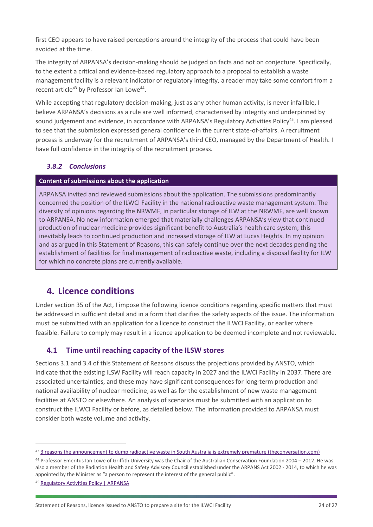first CEO appears to have raised perceptions around the integrity of the process that could have been avoided at the time.

The integrity of ARPANSA's decision-making should be judged on facts and not on conjecture. Specifically, to the extent a critical and evidence-based regulatory approach to a proposal to establish a waste management facility is a relevant indicator of regulatory integrity, a reader may take some comfort from a recent article<sup>43</sup> by Professor Ian Lowe<sup>44</sup>.

While accepting that regulatory decision-making, just as any other human activity, is never infallible, I believe ARPANSA's decisions as a rule are well informed, characterised by integrity and underpinned by sound judgement and evidence, in accordance with ARPANSA's Regulatory Activities Policy<sup>45</sup>. I am pleased to see that the submission expressed general confidence in the current state-of-affairs. A recruitment process is underway for the recruitment of ARPANSA's third CEO, managed by the Department of Health. I have full confidence in the integrity of the recruitment process.

## <span id="page-24-0"></span>*3.8.2 Conclusions*

#### **Content of submissions about the application**

ARPANSA invited and reviewed submissions about the application. The submissions predominantly concerned the position of the ILWCI Facility in the national radioactive waste management system. The diversity of opinions regarding the NRWMF, in particular storage of ILW at the NRWMF, are well known to ARPANSA. No new information emerged that materially challenges ARPANSA's view that continued production of nuclear medicine provides significant benefit to Australia's health care system; this inevitably leads to continued production and increased storage of ILW at Lucas Heights. In my opinion and as argued in this Statement of Reasons, this can safely continue over the next decades pending the establishment of facilities for final management of radioactive waste, including a disposal facility for ILW for which no concrete plans are currently available.

## <span id="page-24-1"></span>**4. Licence conditions**

Under section 35 of the Act, I impose the following licence conditions regarding specific matters that must be addressed in sufficient detail and in a form that clarifies the safety aspects of the issue. The information must be submitted with an application for a licence to construct the ILWCI Facility, or earlier where feasible. Failure to comply may result in a licence application to be deemed incomplete and not reviewable.

## <span id="page-24-2"></span>**4.1 Time until reaching capacity of the ILSW stores**

Sections 3.1 and 3.4 of this Statement of Reasons discuss the projections provided by ANSTO, which indicate that the existing ILSW Facility will reach capacity in 2027 and the ILWCI Facility in 2037. There are associated uncertainties, and these may have significant consequences for long-term production and national availability of nuclear medicine, as well as for the establishment of new waste management facilities at ANSTO or elsewhere. An analysis of scenarios must be submitted with an application to construct the ILWCI Facility or before, as detailed below. The information provided to ARPANSA must consider both waste volume and activity.

<sup>43</sup> [3 reasons the announcement to dump radioactive waste in South Australia is extremely premature \(theconversation.com\)](https://theconversation.com/3-reasons-the-announcement-to-dump-radioactive-waste-in-south-australia-is-extremely-premature-172766)

<sup>44</sup> Professor Emeritus Ian Lowe of Griffith University was the Chair of the Australian Conservation Foundation 2004 – 2012. He was also a member of the Radiation Health and Safety Advisory Council established under the ARPANS Act 2002 - 2014, to which he was appointed by the Minister as "a person to represent the interest of the general public".

<sup>45</sup> [Regulatory Activities Policy | ARPANSA](https://www.arpansa.gov.au/about-us/our-policies/regulatory-activity-policies#:~:text=The%20Regulatory%20Activities%20Policy%20(the,the%20environment%2C%20from%20the%20harmful)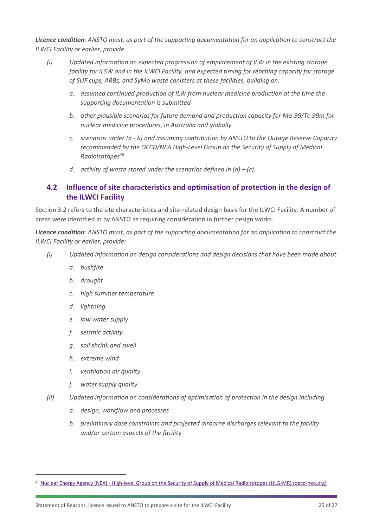*Licence condition: ANSTO must, as part of the supporting documentation for an application to construct the ILWCI Facility or earlier, provide*

- *(i) Updated information on expected progression of emplacement of ILW in the existing storage facility for ILSW and in the ILWCI Facility, and expected timing for reaching capacity for storage of SUF cups, ARBs, and SyMo waste canisters at these facilities, building on:*
	- *a. assumed continued production of ILW from nuclear medicine production at the time the supporting documentation is submitted*
	- *b. other plausible scenarios for future demand and production capacity for Mo-99/Tc-99m for nuclear medicine procedures, in Australia and globally*
	- *c. scenarios under (a - b) and assuming contribution by ANSTO to the Outage Reserve Capacity recommended by the OECD/NEA High-Level Group on the Security of Supply of Medical Radioisotopes<sup>46</sup>*
	- *d. activity of waste stored under the scenarios defined in (a) – (c).*

## <span id="page-25-0"></span>**4.2 Influence of site characteristics and optimisation of protection in the design of the ILWCI Facility**

Section 3.2 refers to the site characteristics and site-related design basis for the ILWCI Facility. A number of areas were identified in by ANSTO as requiring consideration in further design works.

*Licence condition: ANSTO must, as part of the supporting documentation for an application to construct the ILWCI Facility or earlier, provide:*

- *(i) Updated information on design considerations and design decisions that have been made about*
	- *a. bushfire*
	- *b. drought*
	- *c. high summer temperature*
	- *d. lightning*
	- *e. low water supply*
	- *f. seismic activity*
	- *g. soil shrink and swell*
	- *h. extreme wind*
	- *i. ventilation air quality*
	- *j. water supply quality*
- *(ii) Updated information on considerations of optimisation of protection in the design including* 
	- *a. design, workflow and processes*
	- *b. preliminary dose constraints and projected airborne discharges relevant to the facility and/or certain aspects of the facility.*

<sup>46</sup> Nuclear Energy Agency (NEA) - [High-level Group on the Security of Supply of Medical Radioisotopes \(HLG-MR\) \(oecd-nea.org\)](https://www.oecd-nea.org/jcms/pl_26152/high-level-group-on-the-security-of-supply-of-medical-radioisotopes-hlg-mr)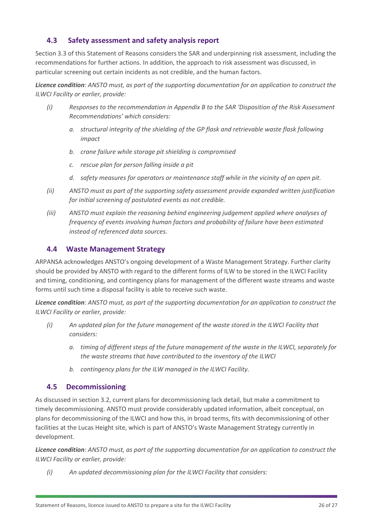## <span id="page-26-0"></span>**4.3 Safety assessment and safety analysis report**

Section 3.3 of this Statement of Reasons considers the SAR and underpinning risk assessment, including the recommendations for further actions. In addition, the approach to risk assessment was discussed, in particular screening out certain incidents as not credible, and the human factors.

*Licence condition: ANSTO must, as part of the supporting documentation for an application to construct the ILWCI Facility or earlier, provide:*

- *(i) Responses to the recommendation in Appendix B to the SAR 'Disposition of the Risk Assessment Recommendations' which considers:*
	- *a. structural integrity of the shielding of the GP flask and retrievable waste flask following impact*
	- *b. crane failure while storage pit shielding is compromised*
	- *c. rescue plan for person falling inside a pit*
	- *d. safety measures for operators or maintenance staff while in the vicinity of an open pit.*
- *(ii) ANSTO must as part of the supporting safety assessment provide expanded written justification for initial screening of postulated events as not credible.*
- *(iii) ANSTO must explain the reasoning behind engineering judgement applied where analyses of frequency of events involving human factors and probability of failure have been estimated instead of referenced data sources.*

## <span id="page-26-1"></span>**4.4 Waste Management Strategy**

ARPANSA acknowledges ANSTO's ongoing development of a Waste Management Strategy. Further clarity should be provided by ANSTO with regard to the different forms of ILW to be stored in the ILWCI Facility and timing, conditioning, and contingency plans for management of the different waste streams and waste forms until such time a disposal facility is able to receive such waste.

*Licence condition: ANSTO must, as part of the supporting documentation for an application to construct the ILWCI Facility or earlier, provide:*

- *(i) An updated plan for the future management of the waste stored in the ILWCI Facility that considers:*
	- *a. timing of different steps of the future management of the waste in the ILWCI, separately for the waste streams that have contributed to the inventory of the ILWCI*
	- *b. contingency plans for the ILW managed in the ILWCI Facility.*

## <span id="page-26-2"></span>**4.5 Decommissioning**

As discussed in section 3.2, current plans for decommissioning lack detail, but make a commitment to timely decommissioning. ANSTO must provide considerably updated information, albeit conceptual, on plans for decommissioning of the ILWCI and how this, in broad terms, fits with decommissioning of other facilities at the Lucas Height site, which is part of ANSTO's Waste Management Strategy currently in development.

*Licence condition: ANSTO must, as part of the supporting documentation for an application to construct the ILWCI Facility or earlier, provide:*

*(i) An updated decommissioning plan for the ILWCI Facility that considers:*